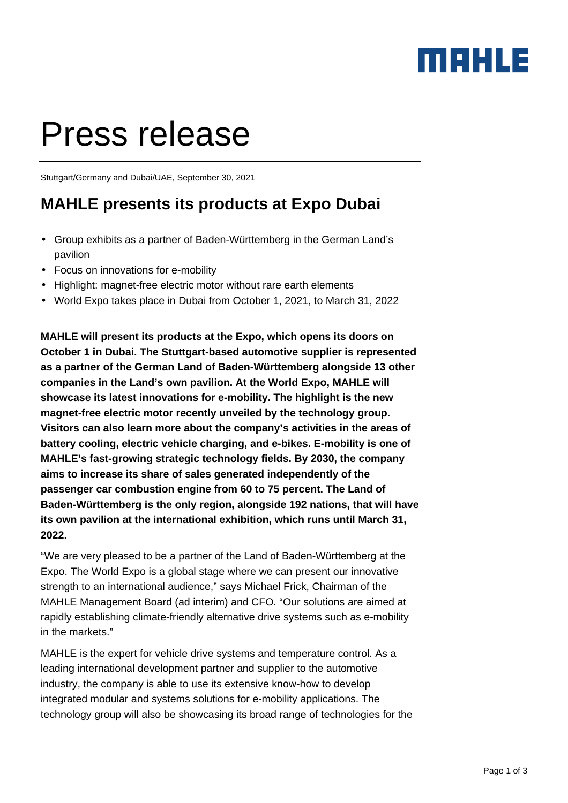### MAHLE

# Press release

Stuttgart/Germany and Dubai/UAE, September 30, 2021

#### **MAHLE presents its products at Expo Dubai**

- Group exhibits as a partner of Baden-Württemberg in the German Land's pavilion
- Focus on innovations for e-mobility
- Highlight: magnet-free electric motor without rare earth elements
- World Expo takes place in Dubai from October 1, 2021, to March 31, 2022

**MAHLE will present its products at the Expo, which opens its doors on October 1 in Dubai. The Stuttgart-based automotive supplier is represented as a partner of the German Land of Baden-Württemberg alongside 13 other companies in the Land's own pavilion. At the World Expo, MAHLE will showcase its latest innovations for e-mobility. The highlight is the new magnet-free electric motor recently unveiled by the technology group. Visitors can also learn more about the company's activities in the areas of battery cooling, electric vehicle charging, and e-bikes. E-mobility is one of MAHLE's fast-growing strategic technology fields. By 2030, the company aims to increase its share of sales generated independently of the passenger car combustion engine from 60 to 75 percent. The Land of Baden-Württemberg is the only region, alongside 192 nations, that will have its own pavilion at the international exhibition, which runs until March 31, 2022.** 

"We are very pleased to be a partner of the Land of Baden-Württemberg at the Expo. The World Expo is a global stage where we can present our innovative strength to an international audience," says Michael Frick, Chairman of the MAHLE Management Board (ad interim) and CFO. "Our solutions are aimed at rapidly establishing climate-friendly alternative drive systems such as e-mobility in the markets."

MAHLE is the expert for vehicle drive systems and temperature control. As a leading international development partner and supplier to the automotive industry, the company is able to use its extensive know-how to develop integrated modular and systems solutions for e-mobility applications. The technology group will also be showcasing its broad range of technologies for the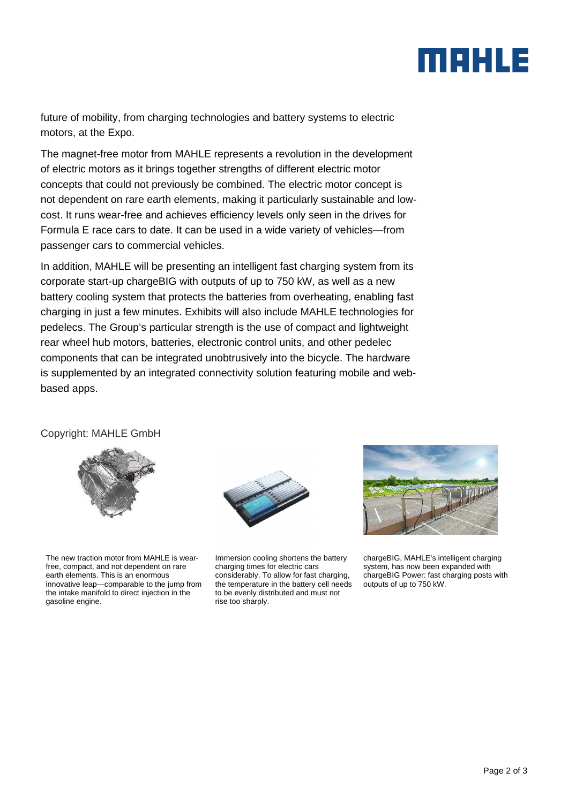## MBHLE

future of mobility, from charging technologies and battery systems to electric motors, at the Expo.

The magnet-free motor from MAHLE represents a revolution in the development of electric motors as it brings together strengths of different electric motor concepts that could not previously be combined. The electric motor concept is not dependent on rare earth elements, making it particularly sustainable and lowcost. It runs wear-free and achieves efficiency levels only seen in the drives for Formula E race cars to date. It can be used in a wide variety of vehicles—from passenger cars to commercial vehicles.

In addition, MAHLE will be presenting an intelligent fast charging system from its corporate start-up chargeBIG with outputs of up to 750 kW, as well as a new battery cooling system that protects the batteries from overheating, enabling fast charging in just a few minutes. Exhibits will also include MAHLE technologies for pedelecs. The Group's particular strength is the use of compact and lightweight rear wheel hub motors, batteries, electronic control units, and other pedelec components that can be integrated unobtrusively into the bicycle. The hardware is supplemented by an integrated connectivity solution featuring mobile and webbased apps.

Copyright: MAHLE GmbH



The new traction motor from MAHLE is wearfree, compact, and not dependent on rare earth elements. This is an enormous innovative leap—comparable to the jump from the intake manifold to direct injection in the gasoline engine.



Immersion cooling shortens the battery charging times for electric cars considerably. To allow for fast charging, the temperature in the battery cell needs to be evenly distributed and must not rise too sharply.



chargeBIG, MAHLE's intelligent charging system, has now been expanded with chargeBIG Power: fast charging posts with outputs of up to 750 kW.